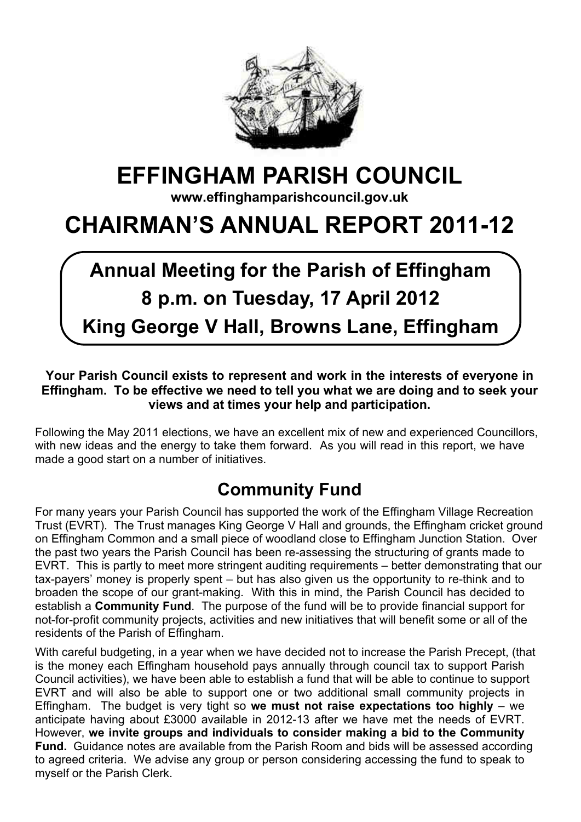

# **EFFINGHAM PARISH COUNCIL**

**www.effinghamparishcouncil.gov.uk**

# **CHAIRMAN'S ANNUAL REPORT 2011-12**

# **Annual Meeting for the Parish of Effingham 8 p.m. on Tuesday, 17 April 2012 King George V Hall, Browns Lane, Effingham**

#### **Your Parish Council exists to represent and work in the interests of everyone in Effingham. To be effective we need to tell you what we are doing and to seek your views and at times your help and participation.**

Following the May 2011 elections, we have an excellent mix of new and experienced Councillors, with new ideas and the energy to take them forward. As you will read in this report, we have made a good start on a number of initiatives.

# **Community Fund**

For many years your Parish Council has supported the work of the Effingham Village Recreation Trust (EVRT). The Trust manages King George V Hall and grounds, the Effingham cricket ground on Effingham Common and a small piece of woodland close to Effingham Junction Station. Over the past two years the Parish Council has been re-assessing the structuring of grants made to EVRT. This is partly to meet more stringent auditing requirements – better demonstrating that our tax-payers' money is properly spent – but has also given us the opportunity to re-think and to broaden the scope of our grant-making. With this in mind, the Parish Council has decided to establish a **Community Fund**. The purpose of the fund will be to provide financial support for not-for-profit community projects, activities and new initiatives that will benefit some or all of the residents of the Parish of Effingham.

With careful budgeting, in a year when we have decided not to increase the Parish Precept, (that is the money each Effingham household pays annually through council tax to support Parish Council activities), we have been able to establish a fund that will be able to continue to support EVRT and will also be able to support one or two additional small community projects in Effingham. The budget is very tight so **we must not raise expectations too highly** – we anticipate having about £3000 available in 2012-13 after we have met the needs of EVRT. However, **we invite groups and individuals to consider making a bid to the Community Fund.** Guidance notes are available from the Parish Room and bids will be assessed according to agreed criteria. We advise any group or person considering accessing the fund to speak to myself or the Parish Clerk.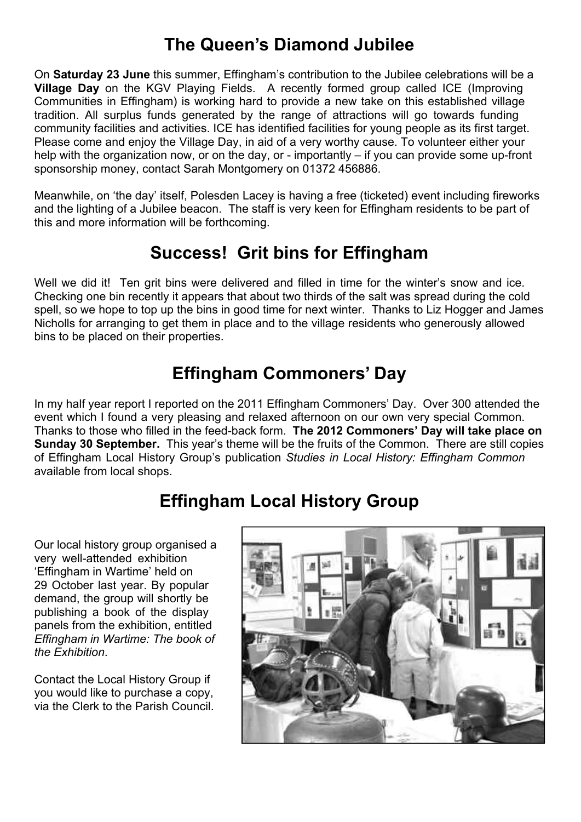#### **The Queen's Diamond Jubilee**

On **Saturday 23 June** this summer, Effingham's contribution to the Jubilee celebrations will be a **Village Day** on the KGV Playing Fields. A recently formed group called ICE (Improving Communities in Effingham) is working hard to provide a new take on this established village tradition. All surplus funds generated by the range of attractions will go towards funding community facilities and activities. ICE has identified facilities for young people as its first target. Please come and enjoy the Village Day, in aid of a very worthy cause. To volunteer either your help with the organization now, or on the day, or - importantly – if you can provide some up-front sponsorship money, contact Sarah Montgomery on 01372 456886.

Meanwhile, on 'the day' itself, Polesden Lacey is having a free (ticketed) event including fireworks and the lighting of a Jubilee beacon. The staff is very keen for Effingham residents to be part of this and more information will be forthcoming.

### **Success! Grit bins for Effingham**

Well we did it! Ten grit bins were delivered and filled in time for the winter's snow and ice. Checking one bin recently it appears that about two thirds of the salt was spread during the cold spell, so we hope to top up the bins in good time for next winter. Thanks to Liz Hogger and James Nicholls for arranging to get them in place and to the village residents who generously allowed bins to be placed on their properties.

## **Effingham Commoners' Day**

In my half year report I reported on the 2011 Effingham Commoners' Day. Over 300 attended the event which I found a very pleasing and relaxed afternoon on our own very special Common. Thanks to those who filled in the feed-back form. **The 2012 Commoners' Day will take place on Sunday 30 September.** This year's theme will be the fruits of the Common. There are still copies of Effingham Local History Group's publication *Studies in Local History: Effingham Common* available from local shops.

# **Effingham Local History Group**

Our local history group organised a very well-attended exhibition 'Effingham in Wartime' held on 29 October last year. By popular demand, the group will shortly be publishing a book of the display panels from the exhibition, entitled *Effingham in Wartime: The book of the Exhibition*.

Contact the Local History Group if you would like to purchase a copy, via the Clerk to the Parish Council.

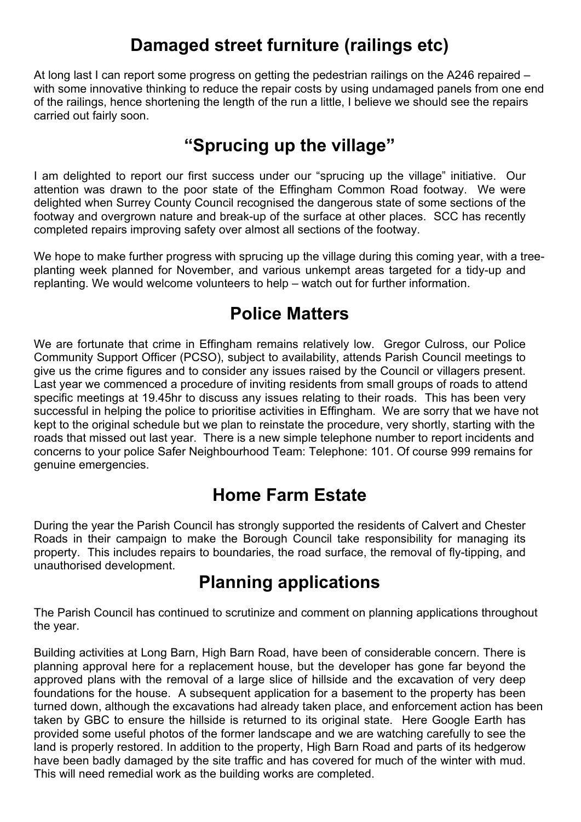#### **Damaged street furniture (railings etc)**

At long last I can report some progress on getting the pedestrian railings on the A246 repaired – with some innovative thinking to reduce the repair costs by using undamaged panels from one end of the railings, hence shortening the length of the run a little, I believe we should see the repairs carried out fairly soon.

### **"Sprucing up the village"**

I am delighted to report our first success under our "sprucing up the village" initiative. Our attention was drawn to the poor state of the Effingham Common Road footway. We were delighted when Surrey County Council recognised the dangerous state of some sections of the footway and overgrown nature and break-up of the surface at other places. SCC has recently completed repairs improving safety over almost all sections of the footway.

We hope to make further progress with sprucing up the village during this coming year, with a treeplanting week planned for November, and various unkempt areas targeted for a tidy-up and replanting. We would welcome volunteers to help – watch out for further information.

### **Police Matters**

We are fortunate that crime in Effingham remains relatively low. Gregor Culross, our Police Community Support Officer (PCSO), subject to availability, attends Parish Council meetings to give us the crime figures and to consider any issues raised by the Council or villagers present. Last year we commenced a procedure of inviting residents from small groups of roads to attend specific meetings at 19.45hr to discuss any issues relating to their roads. This has been very successful in helping the police to prioritise activities in Effingham. We are sorry that we have not kept to the original schedule but we plan to reinstate the procedure, very shortly, starting with the roads that missed out last year. There is a new simple telephone number to report incidents and concerns to your police Safer Neighbourhood Team: Telephone: 101. Of course 999 remains for genuine emergencies.

#### **Home Farm Estate**

During the year the Parish Council has strongly supported the residents of Calvert and Chester Roads in their campaign to make the Borough Council take responsibility for managing its property. This includes repairs to boundaries, the road surface, the removal of fly-tipping, and unauthorised development.

#### **Planning applications**

The Parish Council has continued to scrutinize and comment on planning applications throughout the year.

Building activities at Long Barn, High Barn Road, have been of considerable concern. There is planning approval here for a replacement house, but the developer has gone far beyond the approved plans with the removal of a large slice of hillside and the excavation of very deep foundations for the house. A subsequent application for a basement to the property has been turned down, although the excavations had already taken place, and enforcement action has been taken by GBC to ensure the hillside is returned to its original state. Here Google Earth has provided some useful photos of the former landscape and we are watching carefully to see the land is properly restored. In addition to the property, High Barn Road and parts of its hedgerow have been badly damaged by the site traffic and has covered for much of the winter with mud. This will need remedial work as the building works are completed.